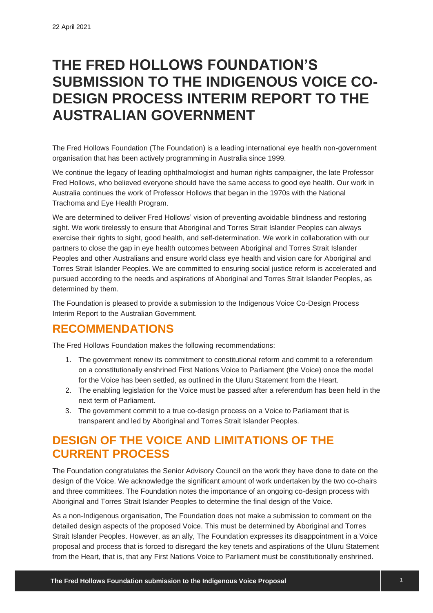# **THE FRED HOLLOWS FOUNDATION'S SUBMISSION TO THE INDIGENOUS VOICE CO-DESIGN PROCESS INTERIM REPORT TO THE AUSTRALIAN GOVERNMENT**

The Fred Hollows Foundation (The Foundation) is a leading international eye health non-government organisation that has been actively programming in Australia since 1999.

We continue the legacy of leading ophthalmologist and human rights campaigner, the late Professor Fred Hollows, who believed everyone should have the same access to good eye health. Our work in Australia continues the work of Professor Hollows that began in the 1970s with the National Trachoma and Eye Health Program.

We are determined to deliver Fred Hollows' vision of preventing avoidable blindness and restoring sight. We work tirelessly to ensure that Aboriginal and Torres Strait Islander Peoples can always exercise their rights to sight, good health, and self-determination. We work in collaboration with our partners to close the gap in eye health outcomes between Aboriginal and Torres Strait Islander Peoples and other Australians and ensure world class eye health and vision care for Aboriginal and Torres Strait Islander Peoples. We are committed to ensuring social justice reform is accelerated and pursued according to the needs and aspirations of Aboriginal and Torres Strait Islander Peoples, as determined by them.

The Foundation is pleased to provide a submission to the Indigenous Voice Co-Design Process Interim Report to the Australian Government.

### **RECOMMENDATIONS**

The Fred Hollows Foundation makes the following recommendations:

- 1. The government renew its commitment to constitutional reform and commit to a referendum on a constitutionally enshrined First Nations Voice to Parliament (the Voice) once the model for the Voice has been settled, as outlined in the Uluru Statement from the Heart.
- 2. The enabling legislation for the Voice must be passed after a referendum has been held in the next term of Parliament.
- 3. The government commit to a true co-design process on a Voice to Parliament that is transparent and led by Aboriginal and Torres Strait Islander Peoples.

## **DESIGN OF THE VOICE AND LIMITATIONS OF THE CURRENT PROCESS**

The Foundation congratulates the Senior Advisory Council on the work they have done to date on the design of the Voice. We acknowledge the significant amount of work undertaken by the two co-chairs and three committees. The Foundation notes the importance of an ongoing co-design process with Aboriginal and Torres Strait Islander Peoples to determine the final design of the Voice.

As a non-Indigenous organisation, The Foundation does not make a submission to comment on the detailed design aspects of the proposed Voice. This must be determined by Aboriginal and Torres Strait Islander Peoples. However, as an ally, The Foundation expresses its disappointment in a Voice proposal and process that is forced to disregard the key tenets and aspirations of the Uluru Statement from the Heart, that is, that any First Nations Voice to Parliament must be constitutionally enshrined.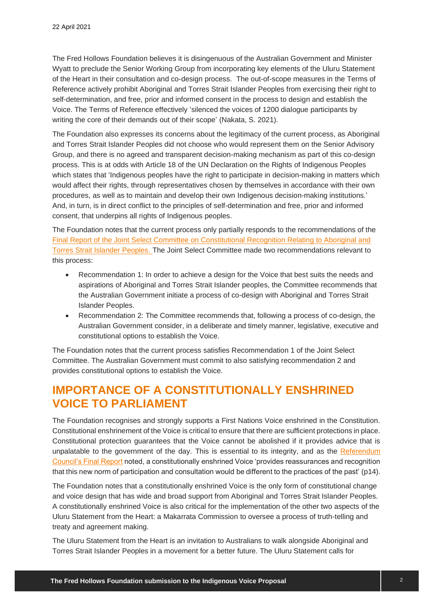The Fred Hollows Foundation believes it is disingenuous of the Australian Government and Minister Wyatt to preclude the Senior Working Group from incorporating key elements of the Uluru Statement of the Heart in their consultation and co-design process. The out-of-scope measures in the Terms of Reference actively prohibit Aboriginal and Torres Strait Islander Peoples from exercising their right to self-determination, and free, prior and informed consent in the process to design and establish the Voice. The Terms of Reference effectively 'silenced the voices of 1200 dialogue participants by writing the core of their demands out of their scope' (Nakata, S. 2021).

The Foundation also expresses its concerns about the legitimacy of the current process, as Aboriginal and Torres Strait Islander Peoples did not choose who would represent them on the Senior Advisory Group, and there is no agreed and transparent decision-making mechanism as part of this co-design process. This is at odds with Article 18 of the UN Declaration on the Rights of Indigenous Peoples which states that 'Indigenous peoples have the right to participate in decision-making in matters which would affect their rights, through representatives chosen by themselves in accordance with their own procedures, as well as to maintain and develop their own Indigenous decision-making institutions.' And, in turn, is in direct conflict to the principles of self-determination and free, prior and informed consent, that underpins all rights of Indigenous peoples.

The Foundation notes that the current process only partially responds to the recommendations of the [Final Report of the Joint Select Committee on Constitutional Recognition Relating to Aboriginal and](https://parlinfo.aph.gov.au/parlInfo/download/committees/reportjnt/024213/toc_pdf/Finalreport.pdf;fileType=application%2Fpdf)  [Torres Strait Islander Peoples.](https://parlinfo.aph.gov.au/parlInfo/download/committees/reportjnt/024213/toc_pdf/Finalreport.pdf;fileType=application%2Fpdf) The Joint Select Committee made two recommendations relevant to this process:

- Recommendation 1: In order to achieve a design for the Voice that best suits the needs and aspirations of Aboriginal and Torres Strait Islander peoples, the Committee recommends that the Australian Government initiate a process of co-design with Aboriginal and Torres Strait Islander Peoples.
- Recommendation 2: The Committee recommends that, following a process of co-design, the Australian Government consider, in a deliberate and timely manner, legislative, executive and constitutional options to establish the Voice.

The Foundation notes that the current process satisfies Recommendation 1 of the Joint Select Committee. The Australian Government must commit to also satisfying recommendation 2 and provides constitutional options to establish the Voice.

### **IMPORTANCE OF A CONSTITUTIONALLY ENSHRINED VOICE TO PARLIAMENT**

The Foundation recognises and strongly supports a First Nations Voice enshrined in the Constitution. Constitutional enshrinement of the Voice is critical to ensure that there are sufficient protections in place. Constitutional protection guarantees that the Voice cannot be abolished if it provides advice that is unpalatable to the government of the day. This is essential to its integrity, and as the Referendum [Council's Final Report](https://www.referendumcouncil.org.au/sites/default/files/report_attachments/Referendum_Council_Final_Report.pdf) noted, a constitutionally enshrined Voice 'provides reassurances and recognition that this new norm of participation and consultation would be different to the practices of the past' (p14).

The Foundation notes that a constitutionally enshrined Voice is the only form of constitutional change and voice design that has wide and broad support from Aboriginal and Torres Strait Islander Peoples. A constitutionally enshrined Voice is also critical for the implementation of the other two aspects of the Uluru Statement from the Heart: a Makarrata Commission to oversee a process of truth-telling and treaty and agreement making.

The Uluru Statement from the Heart is an invitation to Australians to walk alongside Aboriginal and Torres Strait Islander Peoples in a movement for a better future. The Uluru Statement calls for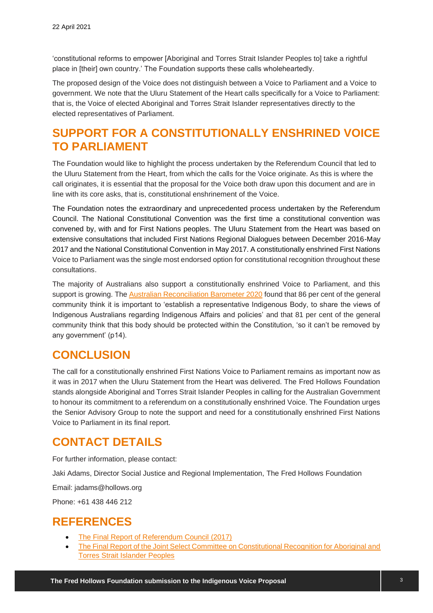'constitutional reforms to empower [Aboriginal and Torres Strait Islander Peoples to] take a rightful place in [their] own country.' The Foundation supports these calls wholeheartedly.

The proposed design of the Voice does not distinguish between a Voice to Parliament and a Voice to government. We note that the Uluru Statement of the Heart calls specifically for a Voice to Parliament: that is, the Voice of elected Aboriginal and Torres Strait Islander representatives directly to the elected representatives of Parliament.

### **SUPPORT FOR A CONSTITUTIONALLY ENSHRINED VOICE TO PARLIAMENT**

The Foundation would like to highlight the process undertaken by the Referendum Council that led to the Uluru Statement from the Heart, from which the calls for the Voice originate. As this is where the call originates, it is essential that the proposal for the Voice both draw upon this document and are in line with its core asks, that is, constitutional enshrinement of the Voice.

The Foundation notes the extraordinary and unprecedented process undertaken by the Referendum Council. The National Constitutional Convention was the first time a constitutional convention was convened by, with and for First Nations peoples. The Uluru Statement from the Heart was based on extensive consultations that included First Nations Regional Dialogues between December 2016-May 2017 and the National Constitutional Convention in May 2017. A constitutionally enshrined First Nations Voice to Parliament was the single most endorsed option for constitutional recognition throughout these consultations.

The majority of Australians also support a constitutionally enshrined Voice to Parliament, and this support is growing. The [Australian Reconciliation Barometer 2020](https://www.reconciliation.org.au/wp-content/uploads/2020/11/australian_reconciliation_barometer_2020_-full-report_web.pdf) found that 86 per cent of the general community think it is important to 'establish a representative Indigenous Body, to share the views of Indigenous Australians regarding Indigenous Affairs and policies' and that 81 per cent of the general community think that this body should be protected within the Constitution, 'so it can't be removed by any government' (p14).

### **CONCLUSION**

The call for a constitutionally enshrined First Nations Voice to Parliament remains as important now as it was in 2017 when the Uluru Statement from the Heart was delivered. The Fred Hollows Foundation stands alongside Aboriginal and Torres Strait Islander Peoples in calling for the Australian Government to honour its commitment to a referendum on a constitutionally enshrined Voice. The Foundation urges the Senior Advisory Group to note the support and need for a constitutionally enshrined First Nations Voice to Parliament in its final report.

### **CONTACT DETAILS**

For further information, please contact:

Jaki Adams, Director Social Justice and Regional Implementation, The Fred Hollows Foundation

Email: jadams@hollows.org

Phone: +61 438 446 212

#### **REFERENCES**

- [The Final Report of Referendum Council \(2017\)](https://www.referendumcouncil.org.au/sites/default/files/report_attachments/Referendum_Council_Final_Report.pdf)
- [The Final Report of the Joint Select Committee on Constitutional Recognition for Aboriginal and](https://parlinfo.aph.gov.au/parlInfo/download/committees/reportjnt/024213/toc_pdf/Finalreport.pdf;fileType=application%2Fpdf)  [Torres Strait Islander Peoples](https://parlinfo.aph.gov.au/parlInfo/download/committees/reportjnt/024213/toc_pdf/Finalreport.pdf;fileType=application%2Fpdf)